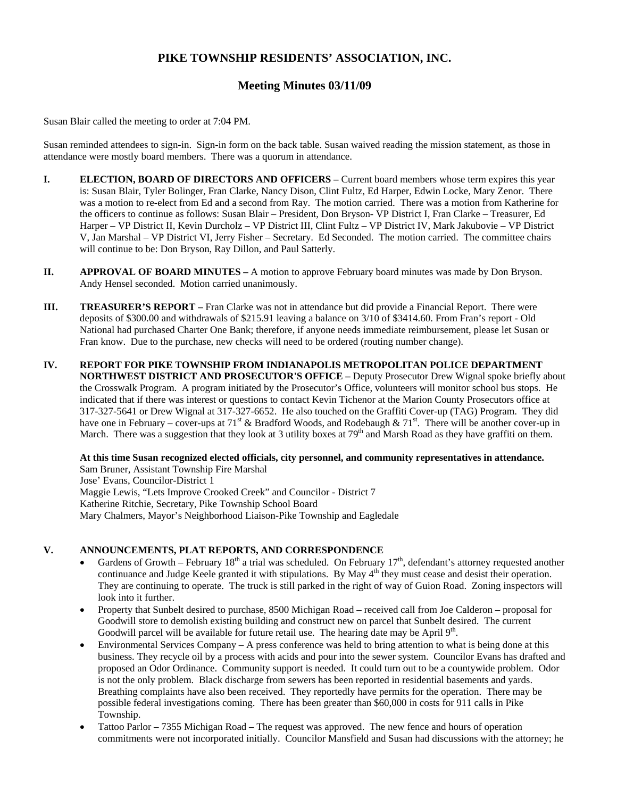# **PIKE TOWNSHIP RESIDENTS' ASSOCIATION, INC.**

# **Meeting Minutes 03/11/09**

Susan Blair called the meeting to order at 7:04 PM.

Susan reminded attendees to sign-in. Sign-in form on the back table. Susan waived reading the mission statement, as those in attendance were mostly board members. There was a quorum in attendance.

- **I. ELECTION, BOARD OF DIRECTORS AND OFFICERS Current board members whose term expires this year** is: Susan Blair, Tyler Bolinger, Fran Clarke, Nancy Dison, Clint Fultz, Ed Harper, Edwin Locke, Mary Zenor. There was a motion to re-elect from Ed and a second from Ray. The motion carried. There was a motion from Katherine for the officers to continue as follows: Susan Blair – President, Don Bryson- VP District I, Fran Clarke – Treasurer, Ed Harper – VP District II, Kevin Durcholz – VP District III, Clint Fultz – VP District IV, Mark Jakubovie – VP District V, Jan Marshal – VP District VI, Jerry Fisher – Secretary. Ed Seconded. The motion carried. The committee chairs will continue to be: Don Bryson, Ray Dillon, and Paul Satterly.
- **II. APPROVAL OF BOARD MINUTES** A motion to approve February board minutes was made by Don Bryson. Andy Hensel seconded. Motion carried unanimously.
- **III. TREASURER'S REPORT** Fran Clarke was not in attendance but did provide a Financial Report. There were deposits of \$300.00 and withdrawals of \$215.91 leaving a balance on 3/10 of \$3414.60. From Fran's report - Old National had purchased Charter One Bank; therefore, if anyone needs immediate reimbursement, please let Susan or Fran know. Due to the purchase, new checks will need to be ordered (routing number change).
- **IV. REPORT FOR PIKE TOWNSHIP FROM INDIANAPOLIS METROPOLITAN POLICE DEPARTMENT NORTHWEST DISTRICT AND PROSECUTOR'S OFFICE –** Deputy Prosecutor Drew Wignal spoke briefly about the Crosswalk Program. A program initiated by the Prosecutor's Office, volunteers will monitor school bus stops. He indicated that if there was interest or questions to contact Kevin Tichenor at the Marion County Prosecutors office at 317-327-5641 or Drew Wignal at 317-327-6652. He also touched on the Graffiti Cover-up (TAG) Program. They did have one in February – cover-ups at 71<sup>st</sup> & Bradford Woods, and Rodebaugh & 71<sup>st</sup>. There will be another cover-up in March. There was a suggestion that they look at 3 utility boxes at  $79<sup>th</sup>$  and Marsh Road as they have graffiti on them.

**At this time Susan recognized elected officials, city personnel, and community representatives in attendance.** Sam Bruner, Assistant Township Fire Marshal Jose' Evans, Councilor-District 1 Maggie Lewis, "Lets Improve Crooked Creek" and Councilor - District 7 Katherine Ritchie, Secretary, Pike Township School Board Mary Chalmers, Mayor's Neighborhood Liaison-Pike Township and Eagledale

### **V. ANNOUNCEMENTS, PLAT REPORTS, AND CORRESPONDENCE**

- Gardens of Growth February 18<sup>th</sup> a trial was scheduled. On February  $17<sup>th</sup>$ , defendant's attorney requested another continuance and Judge Keele granted it with stipulations. By May  $4<sup>th</sup>$  they must cease and desist their operation. They are continuing to operate. The truck is still parked in the right of way of Guion Road. Zoning inspectors will look into it further.
- Property that Sunbelt desired to purchase, 8500 Michigan Road received call from Joe Calderon proposal for Goodwill store to demolish existing building and construct new on parcel that Sunbelt desired. The current Goodwill parcel will be available for future retail use. The hearing date may be April 9<sup>th</sup>.
- Environmental Services Company A press conference was held to bring attention to what is being done at this business. They recycle oil by a process with acids and pour into the sewer system. Councilor Evans has drafted and proposed an Odor Ordinance. Community support is needed. It could turn out to be a countywide problem. Odor is not the only problem. Black discharge from sewers has been reported in residential basements and yards. Breathing complaints have also been received. They reportedly have permits for the operation. There may be possible federal investigations coming. There has been greater than \$60,000 in costs for 911 calls in Pike Township.
- Tattoo Parlor 7355 Michigan Road The request was approved. The new fence and hours of operation commitments were not incorporated initially. Councilor Mansfield and Susan had discussions with the attorney; he